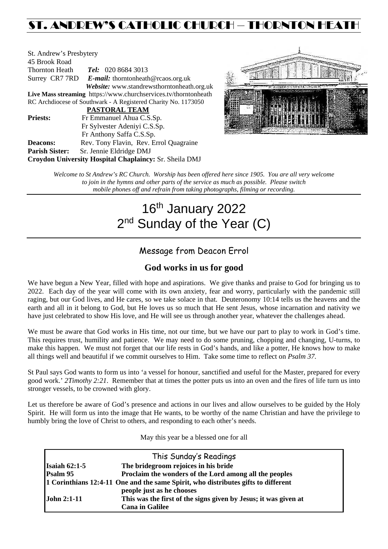## ST. ANDREW'S CATHOLIC CHURCH – THORNTON HEATH

| St. Andrew's Presbytery |                                                                 |
|-------------------------|-----------------------------------------------------------------|
| 45 Brook Road           |                                                                 |
| Thornton Heath          | <b>Tel:</b> 020 8684 3013                                       |
|                         | Surrey CR7 7RD E-mail: thorntonheath@rcaos.org.uk               |
|                         | Website: www.standrewsthorntonheath.org.uk                      |
|                         | Live Mass streaming https://www.churchservices.tv/thorntonheath |
|                         | RC Archdiocese of Southwark - A Registered Charity No. 1173050  |
|                         | <b>PASTORAL TEAM</b>                                            |
| <b>Priests:</b>         | Fr Emmanuel Ahua C.S.Sp.                                        |
|                         | Fr Sylvester Adeniyi C.S.Sp.                                    |
|                         | Fr Anthony Saffa C.S.Sp.                                        |
| <b>Deacons:</b>         | Rev. Tony Flavin, Rev. Errol Quagraine                          |
| <b>Parish Sister:</b>   | Sr. Jennie Eldridge DMJ                                         |
|                         | Croydon University Hospital Chaplaincy: Sr. Sheila DMJ          |



*Welcome to St Andrew's RC Church. Worship has been offered here since 1905. You are all very welcome to join in the hymns and other parts of the service as much as possible. Please switch mobile phones off and refrain from taking photographs, filming or recording.*

# 16<sup>th</sup> January 2022 2<sup>nd</sup> Sunday of the Year (C)

## Message from Deacon Errol

## **God works in us for good**

We have begun a New Year, filled with hope and aspirations. We give thanks and praise to God for bringing us to 2022. Each day of the year will come with its own anxiety, fear and worry, particularly with the pandemic still raging, but our God lives, and He cares, so we take solace in that. Deuteronomy 10:14 tells us the heavens and the earth and all in it belong to God, but He loves us so much that He sent Jesus, whose incarnation and nativity we have just celebrated to show His love, and He will see us through another year, whatever the challenges ahead.

We must be aware that God works in His time, not our time, but we have our part to play to work in God's time. This requires trust, humility and patience. We may need to do some pruning, chopping and changing, U-turns, to make this happen. We must not forget that our life rests in God's hands, and like a potter, He knows how to make all things well and beautiful if we commit ourselves to Him. Take some time to reflect on *Psalm 37.*

St Paul says God wants to form us into 'a vessel for honour, sanctified and useful for the Master, prepared for every good work.' *2Timothy 2:21*. Remember that at times the potter puts us into an oven and the fires of life turn us into stronger vessels, to be crowned with glory.

Let us therefore be aware of God's presence and actions in our lives and allow ourselves to be guided by the Holy Spirit. He will form us into the image that He wants, to be worthy of the name Christian and have the privilege to humbly bring the love of Christ to others, and responding to each other's needs.

May this year be a blessed one for all

|                                                                                   | This Sunday's Readings                                          |  |  |
|-----------------------------------------------------------------------------------|-----------------------------------------------------------------|--|--|
| Isaiah $62:1-5$                                                                   | The bridegroom rejoices in his bride                            |  |  |
| Psalm 95                                                                          | Proclaim the wonders of the Lord among all the peoples          |  |  |
| 1 Corinthians 12:4-11 One and the same Spirit, who distributes gifts to different |                                                                 |  |  |
|                                                                                   | people just as he chooses                                       |  |  |
| <b>John 2:1-11</b>                                                                | This was the first of the signs given by Jesus; it was given at |  |  |
|                                                                                   | <b>Cana in Galilee</b>                                          |  |  |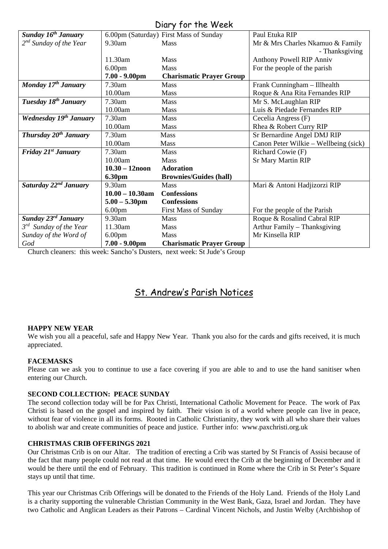| UNIY IVI IIIC IVCCIN               |                    |                                        |                                       |  |  |
|------------------------------------|--------------------|----------------------------------------|---------------------------------------|--|--|
| Sunday 16 <sup>th</sup> January    |                    | 6.00pm (Saturday) First Mass of Sunday | Paul Etuka RIP                        |  |  |
| $2^{nd}$ Sunday of the Year        | 9.30am             | Mass                                   | Mr & Mrs Charles Nkamuo & Family      |  |  |
|                                    |                    |                                        | - Thanksgiving                        |  |  |
|                                    | 11.30am            | <b>Mass</b>                            | Anthony Powell RIP Anniv              |  |  |
|                                    | 6.00 <sub>pm</sub> | <b>Mass</b>                            | For the people of the parish          |  |  |
|                                    | 7.00 - 9.00pm      | <b>Charismatic Prayer Group</b>        |                                       |  |  |
| Monday 17th January                | $7.30$ am          | <b>Mass</b>                            | Frank Cunningham - Illhealth          |  |  |
|                                    | 10.00am            | Mass                                   | Roque & Ana Rita Fernandes RIP        |  |  |
| Tuesday 18 <sup>th</sup> January   | 7.30am             | <b>Mass</b>                            | Mr S. McLaughlan RIP                  |  |  |
|                                    | 10.00am            | <b>Mass</b>                            | Luis & Piedade Fernandes RIP          |  |  |
| Wednesday 19 <sup>th</sup> January | 7.30am             | <b>Mass</b>                            | Cecelia Angress (F)                   |  |  |
|                                    | 10.00am            | Mass                                   | Rhea & Robert Curry RIP               |  |  |
| Thursday 20 <sup>th</sup> January  | 7.30am             | <b>Mass</b>                            | Sr Bernardine Angel DMJ RIP           |  |  |
|                                    | 10.00am            | <b>Mass</b>                            | Canon Peter Wilkie – Wellbeing (sick) |  |  |
| Friday $21^{st}$ January           | 7.30am             | <b>Mass</b>                            | Richard Cowie (F)                     |  |  |
|                                    | 10.00am            | <b>Mass</b>                            | <b>Sr Mary Martin RIP</b>             |  |  |
|                                    | $10.30 - 12$ noon  | <b>Adoration</b>                       |                                       |  |  |
|                                    | <b>6.30pm</b>      | <b>Brownies/Guides (hall)</b>          |                                       |  |  |
| Saturday 22 <sup>nd</sup> January  | 9.30am             | <b>Mass</b>                            | Mari & Antoni Hadjizorzi RIP          |  |  |
|                                    | $10.00 - 10.30$ am | <b>Confessions</b>                     |                                       |  |  |
|                                    | $5.00 - 5.30$ pm   | <b>Confessions</b>                     |                                       |  |  |
|                                    | 6.00 <sub>pm</sub> | <b>First Mass of Sunday</b>            | For the people of the Parish          |  |  |
| Sunday 23rd January                | 9.30am             | <b>Mass</b>                            | Roque & Rosalind Cabral RIP           |  |  |
| $3^{rd}$ Sunday of the Year        | 11.30am            | Mass                                   | Arthur Family - Thanksgiving          |  |  |
| Sunday of the Word of              | 6.00 <sub>pm</sub> | Mass                                   | Mr Kinsella RIP                       |  |  |
| God                                | $7.00 - 9.00$ pm   | <b>Charismatic Prayer Group</b>        |                                       |  |  |

Church cleaners: this week: Sancho's Dusters, next week: St Jude's Group

## St. Andrew's Parish Notices

#### **HAPPY NEW YEAR**

We wish you all a peaceful, safe and Happy New Year. Thank you also for the cards and gifts received, it is much appreciated.

#### **FACEMASKS**

Please can we ask you to continue to use a face covering if you are able to and to use the hand sanitiser when entering our Church.

#### **SECOND COLLECTION: PEACE SUNDAY**

The second collection today will be for Pax Christi, International Catholic Movement for Peace. The work of Pax Christi is based on the gospel and inspired by faith. Their vision is of a world where people can live in peace, without fear of violence in all its forms. Rooted in Catholic Christianity, they work with all who share their values to abolish war and create communities of peace and justice. Further info: www.paxchristi.org.uk

#### **CHRISTMAS CRIB OFFERINGS 2021**

Our Christmas Crib is on our Altar. The tradition of erecting a Crib was started by St Francis of Assisi because of the fact that many people could not read at that time. He would erect the Crib at the beginning of December and it would be there until the end of February. This tradition is continued in Rome where the Crib in St Peter's Square stays up until that time.

This year our Christmas Crib Offerings will be donated to the Friends of the Holy Land. Friends of the Holy Land is a charity supporting the vulnerable Christian Community in the West Bank, Gaza, Israel and Jordan. They have two Catholic and Anglican Leaders as their Patrons – Cardinal Vincent Nichols, and Justin Welby (Archbishop of

### Diary for the Week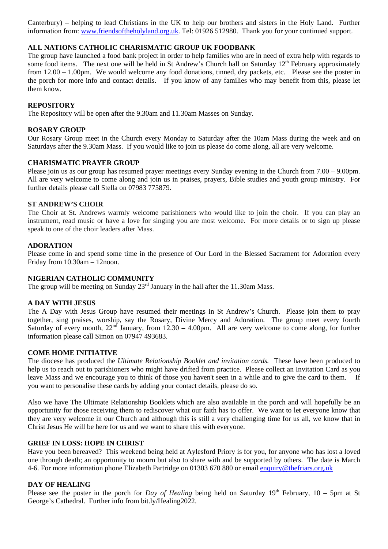Canterbury) – helping to lead Christians in the UK to help our brothers and sisters in the Holy Land. Further information from: [www.friendsoftheholyland.org.uk.](http://www.friendsoftheholyland.org.uk/) Tel: 01926 512980. Thank you for your continued support.

#### **ALL NATIONS CATHOLIC CHARISMATIC GROUP UK FOODBANK**

The group have launched a food bank project in order to help families who are in need of extra help with regards to some food items. The next one will be held in St Andrew's Church hall on Saturday  $12<sup>th</sup>$  February approximately from 12.00 – 1.00pm. We would welcome any food donations, tinned, dry packets, etc. Please see the poster in the porch for more info and contact details. If you know of any families who may benefit from this, please let them know.

#### **REPOSITORY**

The Repository will be open after the 9.30am and 11.30am Masses on Sunday.

#### **ROSARY GROUP**

Our Rosary Group meet in the Church every Monday to Saturday after the 10am Mass during the week and on Saturdays after the 9.30am Mass. If you would like to join us please do come along, all are very welcome.

#### **CHARISMATIC PRAYER GROUP**

Please join us as our group has resumed prayer meetings every Sunday evening in the Church from 7.00 – 9.00pm. All are very welcome to come along and join us in praises, prayers, Bible studies and youth group ministry. For further details please call Stella on 07983 775879.

#### **ST ANDREW'S CHOIR**

The Choir at St. Andrews warmly welcome parishioners who would like to join the choir. If you can play an instrument, read music or have a love for singing you are most welcome. For more details or to sign up please speak to one of the choir leaders after Mass.

#### **ADORATION**

Please come in and spend some time in the presence of Our Lord in the Blessed Sacrament for Adoration every Friday from 10.30am – 12noon.

#### **NIGERIAN CATHOLIC COMMUNITY**

The group will be meeting on Sunday  $23<sup>rd</sup>$  January in the hall after the 11.30am Mass.

#### **A DAY WITH JESUS**

The A Day with Jesus Group have resumed their meetings in St Andrew's Church. Please join them to pray together, sing praises, worship, say the Rosary, Divine Mercy and Adoration. The group meet every fourth Saturday of every month,  $22<sup>nd</sup>$  January, from  $12.30 - 4.00$ pm. All are very welcome to come along, for further information please call Simon on 07947 493683.

#### **COME HOME INITIATIVE**

The diocese has produced the *Ultimate Relationship Booklet and invitation cards.* These have been produced to help us to reach out to parishioners who might have drifted from practice. Please collect an Invitation Card as you leave Mass and we encourage you to think of those you haven't seen in a while and to give the card to them. If you want to personalise these cards by adding your contact details, please do so.

Also we have The Ultimate Relationship Booklets which are also available in the porch and will hopefully be an opportunity for those receiving them to rediscover what our faith has to offer. We want to let everyone know that they are very welcome in our Church and although this is still a very challenging time for us all, we know that in Christ Jesus He will be here for us and we want to share this with everyone.

#### **GRIEF IN LOSS: HOPE IN CHRIST**

Have you been bereaved? This weekend being held at Aylesford Priory is for you, for anyone who has lost a loved one through death; an opportunity to mourn but also to share with and be supported by others. The date is March 4-6. For more information phone Elizabeth Partridge on 01303 670 880 or email [enquiry@thefriars.org.uk](mailto:enquiry@thefriars.org.uk)

#### **DAY OF HEALING**

Please see the poster in the porch for *Day of Healing* being held on Saturday  $19<sup>th</sup>$  February,  $10 - 5$ pm at St George's Cathedral. Further info from bit.ly/Healing2022.